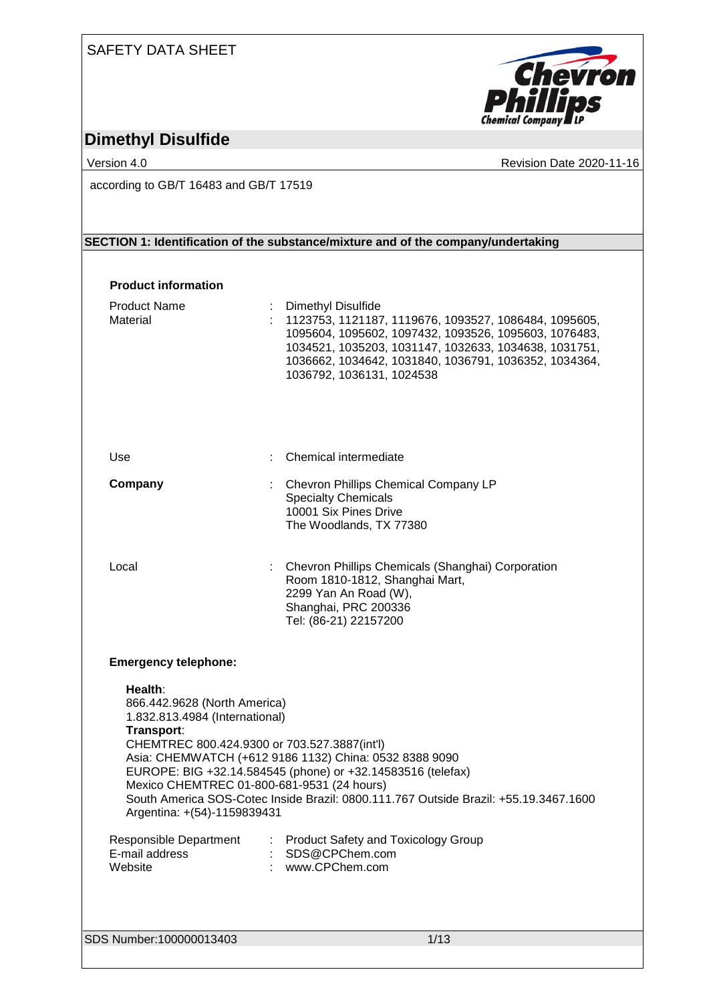### SAFETY DATA SHEET



# **Dimethyl Disulfide**

Version 4.0 **Version 4.0** Revision Date 2020-11-16

according to GB/T 16483 and GB/T 17519

### **SECTION 1: Identification of the substance/mixture and of the company/undertaking**

### **Product information**

| <b>Product Name</b><br>Material                                                                                                                                                                                      | Dimethyl Disulfide<br>1123753, 1121187, 1119676, 1093527, 1086484, 1095605,<br>1095604, 1095602, 1097432, 1093526, 1095603, 1076483,<br>1034521, 1035203, 1031147, 1032633, 1034638, 1031751,<br>1036662, 1034642, 1031840, 1036791, 1036352, 1034364,<br>1036792, 1036131, 1024538 |
|----------------------------------------------------------------------------------------------------------------------------------------------------------------------------------------------------------------------|-------------------------------------------------------------------------------------------------------------------------------------------------------------------------------------------------------------------------------------------------------------------------------------|
| Use                                                                                                                                                                                                                  | Chemical intermediate                                                                                                                                                                                                                                                               |
| Company                                                                                                                                                                                                              | : Chevron Phillips Chemical Company LP<br><b>Specialty Chemicals</b><br>10001 Six Pines Drive<br>The Woodlands, TX 77380                                                                                                                                                            |
| Local                                                                                                                                                                                                                | : Chevron Phillips Chemicals (Shanghai) Corporation<br>Room 1810-1812, Shanghai Mart,<br>2299 Yan An Road (W),<br>Shanghai, PRC 200336<br>Tel: (86-21) 22157200                                                                                                                     |
| <b>Emergency telephone:</b>                                                                                                                                                                                          |                                                                                                                                                                                                                                                                                     |
| Health:<br>866.442.9628 (North America)<br>1.832.813.4984 (International)<br>Transport:<br>CHEMTREC 800.424.9300 or 703.527.3887(int'l)<br>Mexico CHEMTREC 01-800-681-9531 (24 hours)<br>Argentina: +(54)-1159839431 | Asia: CHEMWATCH (+612 9186 1132) China: 0532 8388 9090<br>EUROPE: BIG +32.14.584545 (phone) or +32.14583516 (telefax)<br>South America SOS-Cotec Inside Brazil: 0800.111.767 Outside Brazil: +55.19.3467.1600                                                                       |
| <b>Responsible Department</b><br>E-mail address<br>Website                                                                                                                                                           | <b>Product Safety and Toxicology Group</b><br>SDS@CPChem.com<br>www.CPChem.com                                                                                                                                                                                                      |
|                                                                                                                                                                                                                      |                                                                                                                                                                                                                                                                                     |
| SDS Number:100000013403                                                                                                                                                                                              | 1/13                                                                                                                                                                                                                                                                                |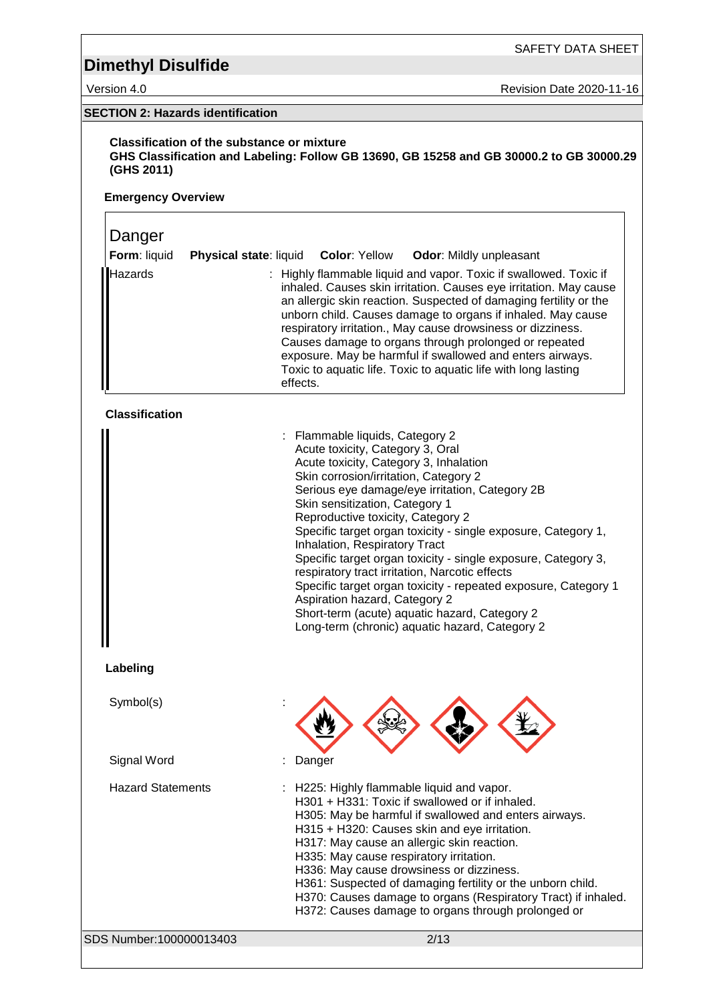SAFETY DATA SHEET

Version 4.0 Revision Date 2020-11-16

### **SECTION 2: Hazards identification**

**Classification of the substance or mixture GHS Classification and Labeling: Follow GB 13690, GB 15258 and GB 30000.2 to GB 30000.29 (GHS 2011)**

#### **Emergency Overview**

### SDS Number:100000013403 2/13 Danger **Form**: liquid **Physical state**: liquid **Color**: Yellow **Odor**: Mildly unpleasant Hazards : Highly flammable liquid and vapor. Toxic if swallowed. Toxic if inhaled. Causes skin irritation. Causes eye irritation. May cause an allergic skin reaction. Suspected of damaging fertility or the unborn child. Causes damage to organs if inhaled. May cause respiratory irritation., May cause drowsiness or dizziness. Causes damage to organs through prolonged or repeated exposure. May be harmful if swallowed and enters airways. Toxic to aquatic life. Toxic to aquatic life with long lasting effects. **Classification** : Flammable liquids, Category 2 Acute toxicity, Category 3, Oral Acute toxicity, Category 3, Inhalation Skin corrosion/irritation, Category 2 Serious eye damage/eye irritation, Category 2B Skin sensitization, Category 1 Reproductive toxicity, Category 2 Specific target organ toxicity - single exposure, Category 1, Inhalation, Respiratory Tract Specific target organ toxicity - single exposure, Category 3, respiratory tract irritation, Narcotic effects Specific target organ toxicity - repeated exposure, Category 1 Aspiration hazard, Category 2 Short-term (acute) aquatic hazard, Category 2 Long-term (chronic) aquatic hazard, Category 2 **Labeling** Symbol(s) Signal Word : Danger Hazard Statements : H225: Highly flammable liquid and vapor. H301 + H331: Toxic if swallowed or if inhaled. H305: May be harmful if swallowed and enters airways. H315 + H320: Causes skin and eye irritation. H317: May cause an allergic skin reaction. H335: May cause respiratory irritation. H336: May cause drowsiness or dizziness. H361: Suspected of damaging fertility or the unborn child. H370: Causes damage to organs (Respiratory Tract) if inhaled. H372: Causes damage to organs through prolonged or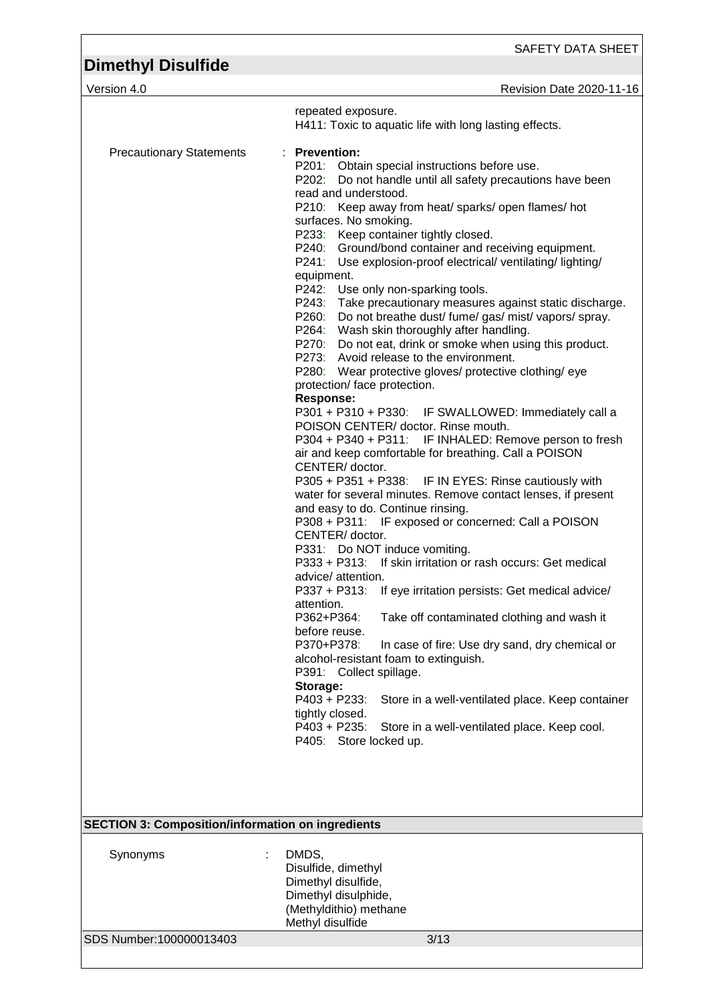SAFETY DATA SHEET

| <b>Dimethyl Disulfide</b>       |                                                                                                                                                                                                                                                                                                                                                                                                                                                                                                                                                                                                                                                                                                                                                                                                                                                                                                                                                                                                                                                                                                                                                                                                                                                                                                                                                                                                                                                                                                                                                                                                                                                                                                                                                                                                                                                                                                                                   |
|---------------------------------|-----------------------------------------------------------------------------------------------------------------------------------------------------------------------------------------------------------------------------------------------------------------------------------------------------------------------------------------------------------------------------------------------------------------------------------------------------------------------------------------------------------------------------------------------------------------------------------------------------------------------------------------------------------------------------------------------------------------------------------------------------------------------------------------------------------------------------------------------------------------------------------------------------------------------------------------------------------------------------------------------------------------------------------------------------------------------------------------------------------------------------------------------------------------------------------------------------------------------------------------------------------------------------------------------------------------------------------------------------------------------------------------------------------------------------------------------------------------------------------------------------------------------------------------------------------------------------------------------------------------------------------------------------------------------------------------------------------------------------------------------------------------------------------------------------------------------------------------------------------------------------------------------------------------------------------|
| Version 4.0                     | Revision Date 2020-11-16                                                                                                                                                                                                                                                                                                                                                                                                                                                                                                                                                                                                                                                                                                                                                                                                                                                                                                                                                                                                                                                                                                                                                                                                                                                                                                                                                                                                                                                                                                                                                                                                                                                                                                                                                                                                                                                                                                          |
|                                 | repeated exposure.<br>H411: Toxic to aquatic life with long lasting effects.                                                                                                                                                                                                                                                                                                                                                                                                                                                                                                                                                                                                                                                                                                                                                                                                                                                                                                                                                                                                                                                                                                                                                                                                                                                                                                                                                                                                                                                                                                                                                                                                                                                                                                                                                                                                                                                      |
| <b>Precautionary Statements</b> | : Prevention:<br>P201: Obtain special instructions before use.<br>P202: Do not handle until all safety precautions have been<br>read and understood.<br>P210: Keep away from heat/ sparks/ open flames/ hot<br>surfaces. No smoking.<br>P233: Keep container tightly closed.<br>P240: Ground/bond container and receiving equipment.<br>P241:<br>Use explosion-proof electrical/ventilating/lighting/<br>equipment.<br>P242: Use only non-sparking tools.<br>P243: Take precautionary measures against static discharge.<br>P260: Do not breathe dust/ fume/ gas/ mist/ vapors/ spray.<br>P264: Wash skin thoroughly after handling.<br>P270: Do not eat, drink or smoke when using this product.<br>P273: Avoid release to the environment.<br>P280: Wear protective gloves/ protective clothing/ eye<br>protection/ face protection.<br><b>Response:</b><br>P301 + P310 + P330: IF SWALLOWED: Immediately call a<br>POISON CENTER/ doctor. Rinse mouth.<br>P304 + P340 + P311: IF INHALED: Remove person to fresh<br>air and keep comfortable for breathing. Call a POISON<br>CENTER/ doctor.<br>P305 + P351 + P338: IF IN EYES: Rinse cautiously with<br>water for several minutes. Remove contact lenses, if present<br>and easy to do. Continue rinsing.<br>P308 + P311: IF exposed or concerned: Call a POISON<br>CENTER/doctor.<br>P331: Do NOT induce vomiting.<br>P333 + P313: If skin irritation or rash occurs: Get medical<br>advice/ attention.<br>P337 + P313: If eye irritation persists: Get medical advice/<br>attention.<br>P362+P364:<br>Take off contaminated clothing and wash it<br>before reuse.<br>P370+P378:<br>In case of fire: Use dry sand, dry chemical or<br>alcohol-resistant foam to extinguish.<br>P391: Collect spillage.<br>Storage:<br>P403 + P233:<br>Store in a well-ventilated place. Keep container<br>tightly closed.<br>$P403 + P235$ :<br>Store in a well-ventilated place. Keep cool. |
|                                 | P405: Store locked up.                                                                                                                                                                                                                                                                                                                                                                                                                                                                                                                                                                                                                                                                                                                                                                                                                                                                                                                                                                                                                                                                                                                                                                                                                                                                                                                                                                                                                                                                                                                                                                                                                                                                                                                                                                                                                                                                                                            |
|                                 |                                                                                                                                                                                                                                                                                                                                                                                                                                                                                                                                                                                                                                                                                                                                                                                                                                                                                                                                                                                                                                                                                                                                                                                                                                                                                                                                                                                                                                                                                                                                                                                                                                                                                                                                                                                                                                                                                                                                   |
|                                 |                                                                                                                                                                                                                                                                                                                                                                                                                                                                                                                                                                                                                                                                                                                                                                                                                                                                                                                                                                                                                                                                                                                                                                                                                                                                                                                                                                                                                                                                                                                                                                                                                                                                                                                                                                                                                                                                                                                                   |
|                                 |                                                                                                                                                                                                                                                                                                                                                                                                                                                                                                                                                                                                                                                                                                                                                                                                                                                                                                                                                                                                                                                                                                                                                                                                                                                                                                                                                                                                                                                                                                                                                                                                                                                                                                                                                                                                                                                                                                                                   |

| <b>SECTION 3: Composition/information on ingredients</b> |                                                                                                                           |  |
|----------------------------------------------------------|---------------------------------------------------------------------------------------------------------------------------|--|
| Synonyms                                                 | DMDS,<br>Disulfide, dimethyl<br>Dimethyl disulfide,<br>Dimethyl disulphide,<br>(Methyldithio) methane<br>Methyl disulfide |  |
| SDS Number:100000013403                                  | 3/13                                                                                                                      |  |
|                                                          |                                                                                                                           |  |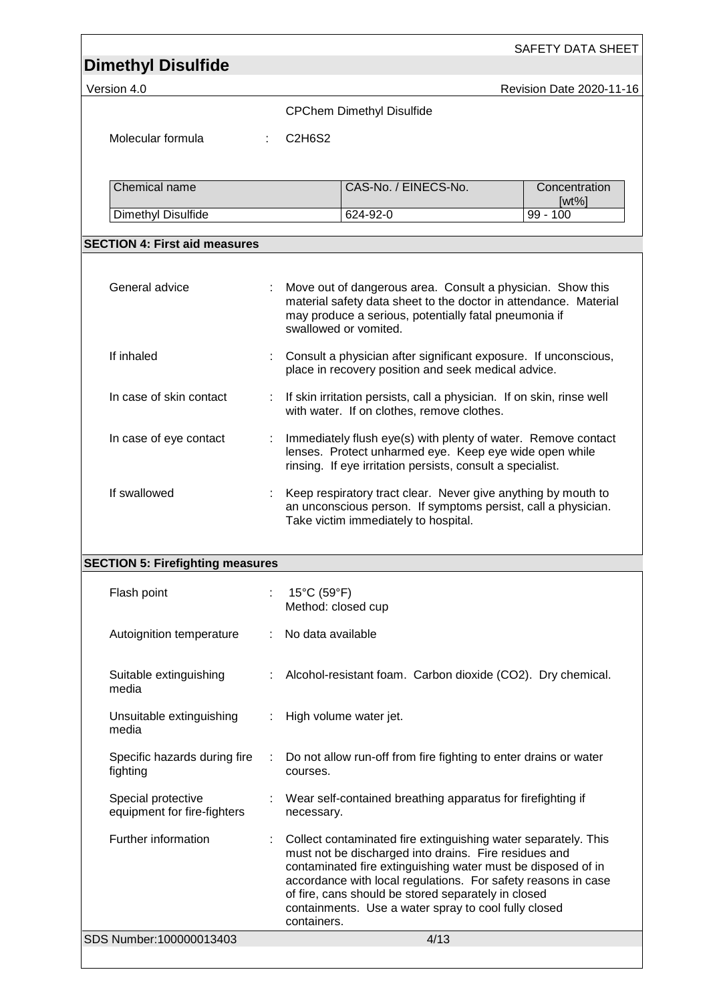| <b>Dimethyl Disulfide</b><br>Version 4.0          |   |                                                                                                                                                                                                                  | Revision Date 2020-11-16  |
|---------------------------------------------------|---|------------------------------------------------------------------------------------------------------------------------------------------------------------------------------------------------------------------|---------------------------|
|                                                   |   | <b>CPChem Dimethyl Disulfide</b>                                                                                                                                                                                 |                           |
|                                                   |   |                                                                                                                                                                                                                  |                           |
| Molecular formula                                 |   | C <sub>2</sub> H <sub>6</sub> S <sub>2</sub>                                                                                                                                                                     |                           |
| Chemical name                                     |   | CAS-No. / EINECS-No.                                                                                                                                                                                             | Concentration<br>$[wt\%]$ |
| Dimethyl Disulfide                                |   | 624-92-0                                                                                                                                                                                                         | $99 - 100$                |
| <b>SECTION 4: First aid measures</b>              |   |                                                                                                                                                                                                                  |                           |
|                                                   |   |                                                                                                                                                                                                                  |                           |
| General advice                                    | ÷ | Move out of dangerous area. Consult a physician. Show this<br>material safety data sheet to the doctor in attendance. Material<br>may produce a serious, potentially fatal pneumonia if<br>swallowed or vomited. |                           |
| If inhaled                                        |   | Consult a physician after significant exposure. If unconscious,<br>place in recovery position and seek medical advice.                                                                                           |                           |
| In case of skin contact                           |   | If skin irritation persists, call a physician. If on skin, rinse well<br>with water. If on clothes, remove clothes.                                                                                              |                           |
| In case of eye contact                            | ÷ | Immediately flush eye(s) with plenty of water. Remove contact<br>lenses. Protect unharmed eye. Keep eye wide open while<br>rinsing. If eye irritation persists, consult a specialist.                            |                           |
| If swallowed                                      |   | Keep respiratory tract clear. Never give anything by mouth to<br>an unconscious person. If symptoms persist, call a physician.<br>Take victim immediately to hospital.                                           |                           |
| <b>SECTION 5: Firefighting measures</b>           |   |                                                                                                                                                                                                                  |                           |
| Flash point                                       |   | 15°C (59°F)<br>Method: closed cup                                                                                                                                                                                |                           |
| Autoignition temperature                          |   | No data available                                                                                                                                                                                                |                           |
| Suitable extinguishing<br>media                   |   | Alcohol-resistant foam. Carbon dioxide (CO2). Dry chemical.                                                                                                                                                      |                           |
| Unsuitable extinguishing<br>media                 | ÷ | High volume water jet.                                                                                                                                                                                           |                           |
| Specific hazards during fire<br>fighting          |   | Do not allow run-off from fire fighting to enter drains or water<br>courses.                                                                                                                                     |                           |
| Special protective<br>equipment for fire-fighters |   | Wear self-contained breathing apparatus for firefighting if<br>necessary.                                                                                                                                        |                           |
|                                                   |   | Collect contaminated fire extinguishing water separately. This<br>must not be discharged into drains. Fire residues and<br>contaminated fire extinguishing water must be disposed of in                          |                           |
| Further information                               |   | accordance with local regulations. For safety reasons in case<br>of fire, cans should be stored separately in closed<br>containments. Use a water spray to cool fully closed<br>containers.                      |                           |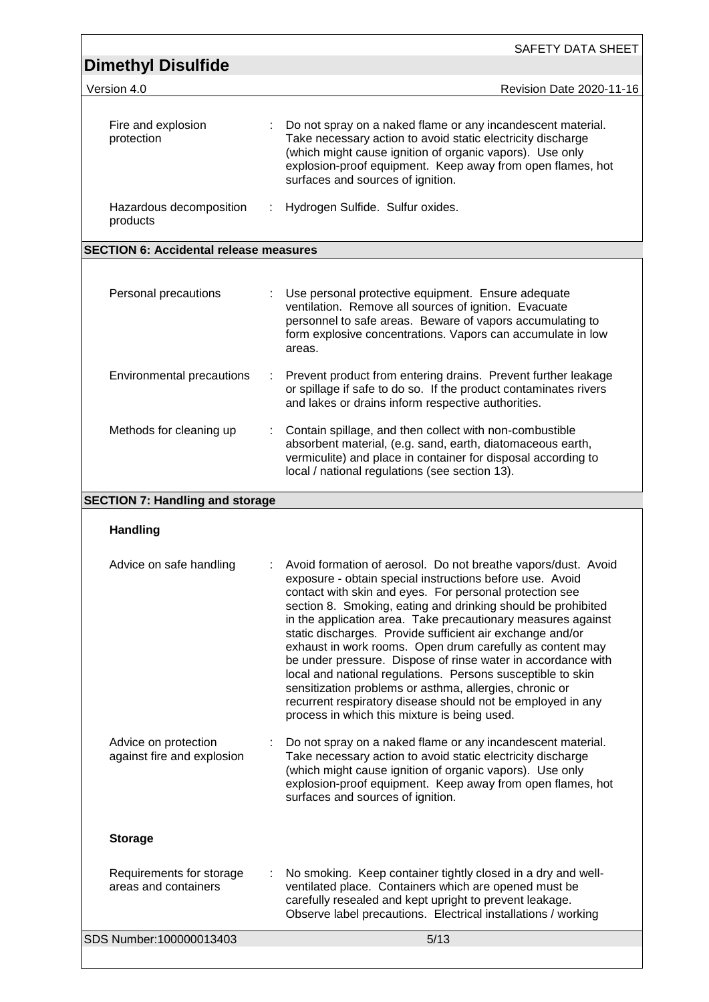| <b>Dimethyl Disulfide</b>                          |   |                                                                                                                                                                                                                                                                                                                                                                                                                                                                                                                                                                                                                                                                                                                                                         |
|----------------------------------------------------|---|---------------------------------------------------------------------------------------------------------------------------------------------------------------------------------------------------------------------------------------------------------------------------------------------------------------------------------------------------------------------------------------------------------------------------------------------------------------------------------------------------------------------------------------------------------------------------------------------------------------------------------------------------------------------------------------------------------------------------------------------------------|
| Version 4.0                                        |   | Revision Date 2020-11-16                                                                                                                                                                                                                                                                                                                                                                                                                                                                                                                                                                                                                                                                                                                                |
| Fire and explosion<br>protection                   |   | Do not spray on a naked flame or any incandescent material.<br>Take necessary action to avoid static electricity discharge<br>(which might cause ignition of organic vapors). Use only<br>explosion-proof equipment. Keep away from open flames, hot<br>surfaces and sources of ignition.                                                                                                                                                                                                                                                                                                                                                                                                                                                               |
| Hazardous decomposition<br>products                | ÷ | Hydrogen Sulfide. Sulfur oxides.                                                                                                                                                                                                                                                                                                                                                                                                                                                                                                                                                                                                                                                                                                                        |
| <b>SECTION 6: Accidental release measures</b>      |   |                                                                                                                                                                                                                                                                                                                                                                                                                                                                                                                                                                                                                                                                                                                                                         |
| Personal precautions                               |   | Use personal protective equipment. Ensure adequate<br>ventilation. Remove all sources of ignition. Evacuate<br>personnel to safe areas. Beware of vapors accumulating to<br>form explosive concentrations. Vapors can accumulate in low<br>areas.                                                                                                                                                                                                                                                                                                                                                                                                                                                                                                       |
| Environmental precautions                          |   | Prevent product from entering drains. Prevent further leakage<br>or spillage if safe to do so. If the product contaminates rivers<br>and lakes or drains inform respective authorities.                                                                                                                                                                                                                                                                                                                                                                                                                                                                                                                                                                 |
| Methods for cleaning up                            | ÷ | Contain spillage, and then collect with non-combustible<br>absorbent material, (e.g. sand, earth, diatomaceous earth,<br>vermiculite) and place in container for disposal according to<br>local / national regulations (see section 13).                                                                                                                                                                                                                                                                                                                                                                                                                                                                                                                |
| <b>SECTION 7: Handling and storage</b>             |   |                                                                                                                                                                                                                                                                                                                                                                                                                                                                                                                                                                                                                                                                                                                                                         |
| <b>Handling</b>                                    |   |                                                                                                                                                                                                                                                                                                                                                                                                                                                                                                                                                                                                                                                                                                                                                         |
|                                                    |   |                                                                                                                                                                                                                                                                                                                                                                                                                                                                                                                                                                                                                                                                                                                                                         |
| Advice on safe handling                            |   | Avoid formation of aerosol. Do not breathe vapors/dust. Avoid<br>exposure - obtain special instructions before use. Avoid<br>contact with skin and eyes. For personal protection see<br>section 8. Smoking, eating and drinking should be prohibited<br>in the application area. Take precautionary measures against<br>static discharges. Provide sufficient air exchange and/or<br>exhaust in work rooms. Open drum carefully as content may<br>be under pressure. Dispose of rinse water in accordance with<br>local and national regulations. Persons susceptible to skin<br>sensitization problems or asthma, allergies, chronic or<br>recurrent respiratory disease should not be employed in any<br>process in which this mixture is being used. |
| Advice on protection<br>against fire and explosion |   | Do not spray on a naked flame or any incandescent material.<br>Take necessary action to avoid static electricity discharge<br>(which might cause ignition of organic vapors). Use only<br>explosion-proof equipment. Keep away from open flames, hot<br>surfaces and sources of ignition.                                                                                                                                                                                                                                                                                                                                                                                                                                                               |
| <b>Storage</b>                                     |   |                                                                                                                                                                                                                                                                                                                                                                                                                                                                                                                                                                                                                                                                                                                                                         |
| Requirements for storage<br>areas and containers   |   | No smoking. Keep container tightly closed in a dry and well-<br>ventilated place. Containers which are opened must be<br>carefully resealed and kept upright to prevent leakage.<br>Observe label precautions. Electrical installations / working                                                                                                                                                                                                                                                                                                                                                                                                                                                                                                       |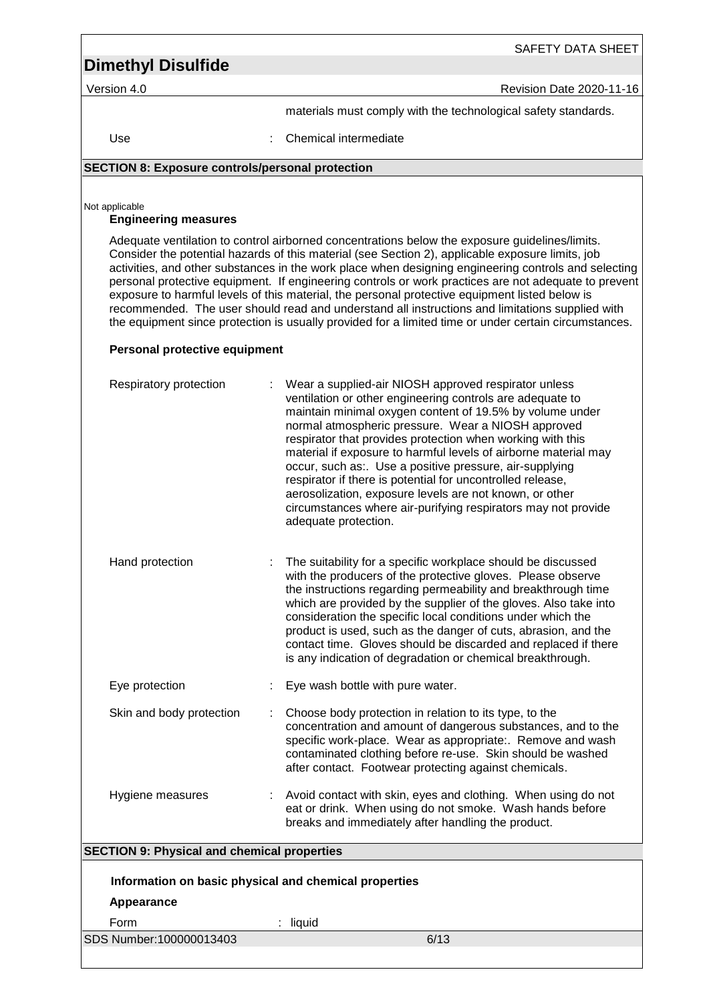Version 4.0 **Contract Contract Contract Contract Contract Contract Contract Contract Contract Contract Contract Contract Contract Contract Contract Contract Contract Contract Contract Contract Contract Contract Contract Co** 

SAFETY DATA SHEET

materials must comply with the technological safety standards.

Use : Chemical intermediate

### **SECTION 8: Exposure controls/personal protection**

Not applicable

### **Engineering measures**

Adequate ventilation to control airborned concentrations below the exposure guidelines/limits. Consider the potential hazards of this material (see Section 2), applicable exposure limits, job activities, and other substances in the work place when designing engineering controls and selecting personal protective equipment. If engineering controls or work practices are not adequate to prevent exposure to harmful levels of this material, the personal protective equipment listed below is recommended. The user should read and understand all instructions and limitations supplied with the equipment since protection is usually provided for a limited time or under certain circumstances.

### **Personal protective equipment**

| Respiratory protection                                | Wear a supplied-air NIOSH approved respirator unless<br>ventilation or other engineering controls are adequate to<br>maintain minimal oxygen content of 19.5% by volume under<br>normal atmospheric pressure. Wear a NIOSH approved<br>respirator that provides protection when working with this<br>material if exposure to harmful levels of airborne material may<br>occur, such as:. Use a positive pressure, air-supplying<br>respirator if there is potential for uncontrolled release,<br>aerosolization, exposure levels are not known, or other<br>circumstances where air-purifying respirators may not provide<br>adequate protection. |
|-------------------------------------------------------|---------------------------------------------------------------------------------------------------------------------------------------------------------------------------------------------------------------------------------------------------------------------------------------------------------------------------------------------------------------------------------------------------------------------------------------------------------------------------------------------------------------------------------------------------------------------------------------------------------------------------------------------------|
| Hand protection                                       | The suitability for a specific workplace should be discussed<br>with the producers of the protective gloves. Please observe<br>the instructions regarding permeability and breakthrough time<br>which are provided by the supplier of the gloves. Also take into<br>consideration the specific local conditions under which the<br>product is used, such as the danger of cuts, abrasion, and the<br>contact time. Gloves should be discarded and replaced if there<br>is any indication of degradation or chemical breakthrough.                                                                                                                 |
| Eye protection                                        | Eye wash bottle with pure water.                                                                                                                                                                                                                                                                                                                                                                                                                                                                                                                                                                                                                  |
| Skin and body protection                              | Choose body protection in relation to its type, to the<br>concentration and amount of dangerous substances, and to the<br>specific work-place. Wear as appropriate:. Remove and wash<br>contaminated clothing before re-use. Skin should be washed<br>after contact. Footwear protecting against chemicals.                                                                                                                                                                                                                                                                                                                                       |
| Hygiene measures                                      | Avoid contact with skin, eyes and clothing. When using do not<br>eat or drink. When using do not smoke. Wash hands before<br>breaks and immediately after handling the product.                                                                                                                                                                                                                                                                                                                                                                                                                                                                   |
| <b>SECTION 9: Physical and chemical properties</b>    |                                                                                                                                                                                                                                                                                                                                                                                                                                                                                                                                                                                                                                                   |
| Information on basic physical and chemical properties |                                                                                                                                                                                                                                                                                                                                                                                                                                                                                                                                                                                                                                                   |
| Appearance                                            |                                                                                                                                                                                                                                                                                                                                                                                                                                                                                                                                                                                                                                                   |
| Form                                                  | liquid                                                                                                                                                                                                                                                                                                                                                                                                                                                                                                                                                                                                                                            |
| SDS Number:100000013403                               | 6/13                                                                                                                                                                                                                                                                                                                                                                                                                                                                                                                                                                                                                                              |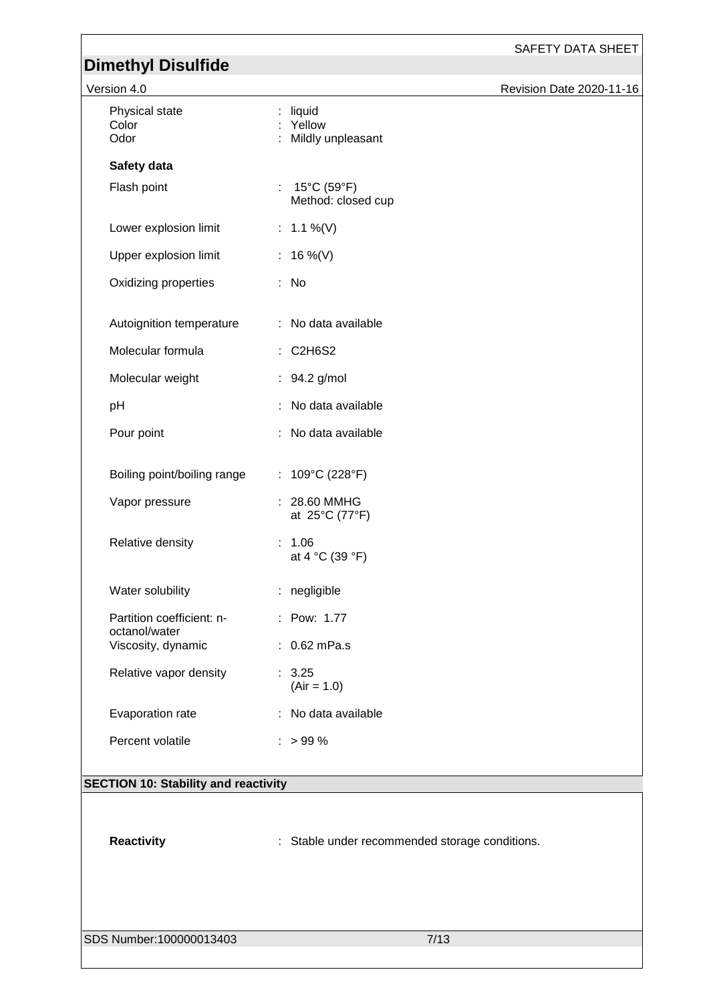SAFETY DATA SHEET

| Version 4.0                                |                                                          | Revision Date 2020-11-16 |
|--------------------------------------------|----------------------------------------------------------|--------------------------|
| Physical state<br>Color<br>Odor            | liquid<br>: Yellow<br>Mildly unpleasant                  |                          |
| Safety data                                |                                                          |                          |
| Flash point                                | : $15^{\circ}$ C (59 $^{\circ}$ F)<br>Method: closed cup |                          |
| Lower explosion limit                      | : $1.1\%$ (V)                                            |                          |
| Upper explosion limit                      | : 16 %(V)                                                |                          |
| Oxidizing properties                       | : No                                                     |                          |
| Autoignition temperature                   | : No data available                                      |                          |
| Molecular formula                          | : C2H6S2                                                 |                          |
| Molecular weight                           | : 94.2 g/mol                                             |                          |
| pH                                         | No data available                                        |                          |
| Pour point                                 | No data available                                        |                          |
| Boiling point/boiling range                | : $109^{\circ}C(228^{\circ}F)$                           |                          |
| Vapor pressure                             | 28.60 MMHG<br>at 25°C (77°F)                             |                          |
| Relative density                           | : 1.06<br>at 4 °C (39 °F)                                |                          |
| Water solubility                           | : negligible                                             |                          |
| Partition coefficient: n-<br>octanol/water | : Pow: 1.77                                              |                          |
| Viscosity, dynamic                         | $: 0.62$ mPa.s                                           |                          |
| Relative vapor density                     | : 3.25<br>$(Air = 1.0)$                                  |                          |
| Evaporation rate                           | : No data available                                      |                          |
| Percent volatile                           | $: > 99 \%$                                              |                          |
|                                            |                                                          |                          |

### **SECTION 10: Stability and reactivity**

Reactivity **Reactivity** : Stable under recommended storage conditions.

SDS Number:100000013403 7/13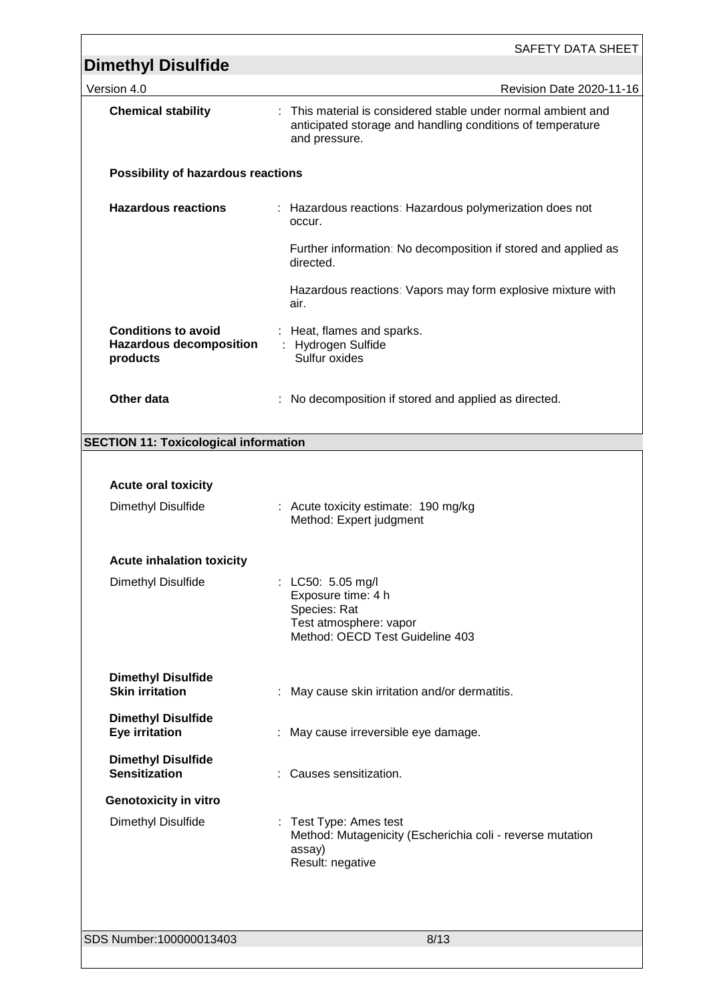| <b>Dimethyl Disulfide</b>                                                | <b>SAFETY DATA SHEET</b>                                                                                                                     |
|--------------------------------------------------------------------------|----------------------------------------------------------------------------------------------------------------------------------------------|
| Version 4.0                                                              | Revision Date 2020-11-16                                                                                                                     |
| <b>Chemical stability</b>                                                | : This material is considered stable under normal ambient and<br>anticipated storage and handling conditions of temperature<br>and pressure. |
| Possibility of hazardous reactions                                       |                                                                                                                                              |
| <b>Hazardous reactions</b>                                               | : Hazardous reactions: Hazardous polymerization does not<br>occur.                                                                           |
|                                                                          | Further information: No decomposition if stored and applied as<br>directed.                                                                  |
|                                                                          | Hazardous reactions: Vapors may form explosive mixture with<br>air.                                                                          |
| <b>Conditions to avoid</b><br><b>Hazardous decomposition</b><br>products | : Heat, flames and sparks.<br>: Hydrogen Sulfide<br>Sulfur oxides                                                                            |
| <b>Other data</b>                                                        | No decomposition if stored and applied as directed.                                                                                          |
| <b>SECTION 11: Toxicological information</b>                             |                                                                                                                                              |
|                                                                          |                                                                                                                                              |
| <b>Acute oral toxicity</b>                                               |                                                                                                                                              |
| Dimethyl Disulfide                                                       | : Acute toxicity estimate: 190 mg/kg<br>Method: Expert judgment                                                                              |
| <b>Acute inhalation toxicity</b>                                         |                                                                                                                                              |
| Dimethyl Disulfide                                                       | : LC50: 5.05 mg/l<br>Exposure time: 4 h<br>Species: Rat<br>Test atmosphere: vapor<br>Method: OECD Test Guideline 403                         |
| <b>Dimethyl Disulfide</b><br><b>Skin irritation</b>                      | May cause skin irritation and/or dermatitis.                                                                                                 |
| <b>Dimethyl Disulfide</b><br><b>Eye irritation</b>                       | May cause irreversible eye damage.                                                                                                           |
| <b>Dimethyl Disulfide</b><br><b>Sensitization</b>                        | Causes sensitization.                                                                                                                        |
| <b>Genotoxicity in vitro</b>                                             |                                                                                                                                              |
| Dimethyl Disulfide                                                       | : Test Type: Ames test<br>Method: Mutagenicity (Escherichia coli - reverse mutation<br>assay)<br>Result: negative                            |
| SDS Number:100000013403                                                  | 8/13                                                                                                                                         |
|                                                                          |                                                                                                                                              |

<u> 1989 - Andrea Barbara, amerikan personal di sebagai personal di sebagai personal di sebagai personal di seba</u>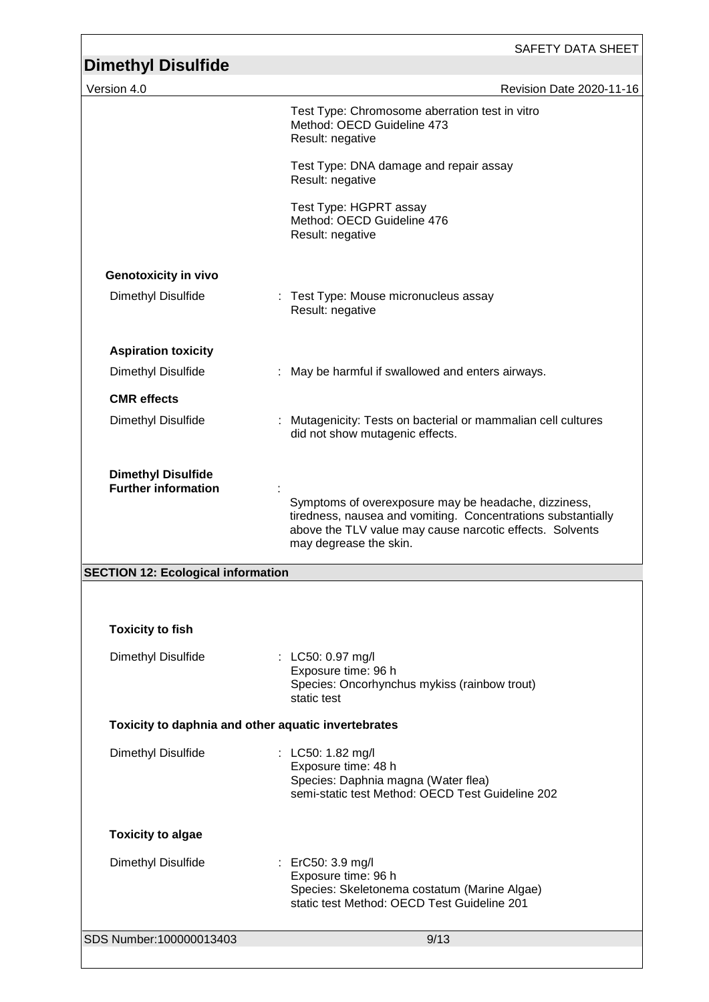| <b>Dimethyl Disulfide</b>                               | <b>SAFETY DATA SHEET</b>                                                                                                                                                                                   |
|---------------------------------------------------------|------------------------------------------------------------------------------------------------------------------------------------------------------------------------------------------------------------|
| Version 4.0                                             | Revision Date 2020-11-16                                                                                                                                                                                   |
|                                                         | Test Type: Chromosome aberration test in vitro<br>Method: OECD Guideline 473<br>Result: negative                                                                                                           |
|                                                         | Test Type: DNA damage and repair assay<br>Result: negative                                                                                                                                                 |
|                                                         | Test Type: HGPRT assay<br>Method: OECD Guideline 476<br>Result: negative                                                                                                                                   |
| <b>Genotoxicity in vivo</b>                             |                                                                                                                                                                                                            |
| Dimethyl Disulfide                                      | Test Type: Mouse micronucleus assay<br>Result: negative                                                                                                                                                    |
| <b>Aspiration toxicity</b>                              |                                                                                                                                                                                                            |
| Dimethyl Disulfide                                      | May be harmful if swallowed and enters airways.                                                                                                                                                            |
| <b>CMR</b> effects                                      |                                                                                                                                                                                                            |
| Dimethyl Disulfide                                      | : Mutagenicity: Tests on bacterial or mammalian cell cultures<br>did not show mutagenic effects.                                                                                                           |
| <b>Dimethyl Disulfide</b><br><b>Further information</b> | Symptoms of overexposure may be headache, dizziness,<br>tiredness, nausea and vomiting. Concentrations substantially<br>above the TLV value may cause narcotic effects. Solvents<br>may degrease the skin. |
| <b>SECTION 12: Ecological information</b>               |                                                                                                                                                                                                            |
|                                                         |                                                                                                                                                                                                            |
| <b>Toxicity to fish</b>                                 |                                                                                                                                                                                                            |
| Dimethyl Disulfide                                      | : LC50: 0.97 mg/l<br>Exposure time: 96 h<br>Species: Oncorhynchus mykiss (rainbow trout)<br>static test                                                                                                    |
| Toxicity to daphnia and other aquatic invertebrates     |                                                                                                                                                                                                            |
| Dimethyl Disulfide                                      | : LC50: 1.82 mg/l<br>Exposure time: 48 h<br>Species: Daphnia magna (Water flea)<br>semi-static test Method: OECD Test Guideline 202                                                                        |
| <b>Toxicity to algae</b>                                |                                                                                                                                                                                                            |
| Dimethyl Disulfide                                      | : ErC50: 3.9 mg/l<br>Exposure time: 96 h<br>Species: Skeletonema costatum (Marine Algae)<br>static test Method: OECD Test Guideline 201                                                                    |
| SDS Number:100000013403                                 | 9/13                                                                                                                                                                                                       |
|                                                         |                                                                                                                                                                                                            |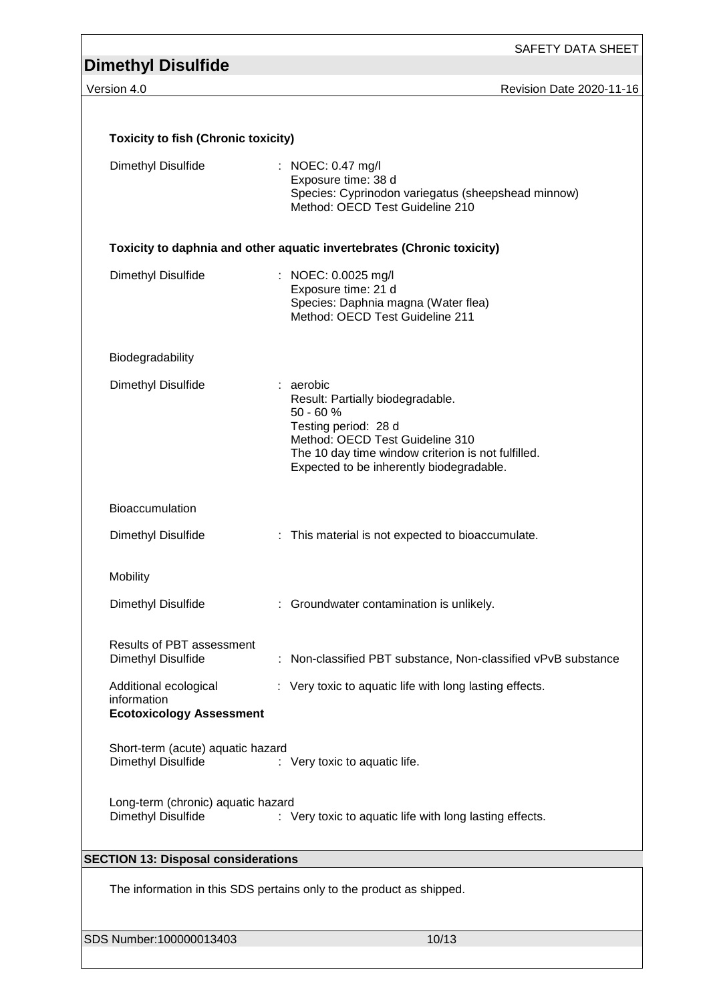SAFETY DATA SHEET

Version 4.0 Revision Date 2020-11-16

| <b>Toxicity to fish (Chronic toxicity)</b>                              |                                                                                                                                                                                                                         |  |
|-------------------------------------------------------------------------|-------------------------------------------------------------------------------------------------------------------------------------------------------------------------------------------------------------------------|--|
| Dimethyl Disulfide                                                      | : NOEC: 0.47 mg/l<br>Exposure time: 38 d<br>Species: Cyprinodon variegatus (sheepshead minnow)<br>Method: OECD Test Guideline 210                                                                                       |  |
|                                                                         | Toxicity to daphnia and other aquatic invertebrates (Chronic toxicity)                                                                                                                                                  |  |
| Dimethyl Disulfide                                                      | : NOEC: 0.0025 mg/l<br>Exposure time: 21 d<br>Species: Daphnia magna (Water flea)<br>Method: OECD Test Guideline 211                                                                                                    |  |
| Biodegradability                                                        |                                                                                                                                                                                                                         |  |
| Dimethyl Disulfide                                                      | : aerobic<br>Result: Partially biodegradable.<br>50 - 60 %<br>Testing period: 28 d<br>Method: OECD Test Guideline 310<br>The 10 day time window criterion is not fulfilled.<br>Expected to be inherently biodegradable. |  |
| <b>Bioaccumulation</b>                                                  |                                                                                                                                                                                                                         |  |
| Dimethyl Disulfide                                                      | : This material is not expected to bioaccumulate.                                                                                                                                                                       |  |
| Mobility                                                                |                                                                                                                                                                                                                         |  |
| Dimethyl Disulfide                                                      | : Groundwater contamination is unlikely.                                                                                                                                                                                |  |
| <b>Results of PBT assessment</b><br>Dimethyl Disulfide                  | : Non-classified PBT substance, Non-classified vPvB substance                                                                                                                                                           |  |
| Additional ecological<br>information<br><b>Ecotoxicology Assessment</b> | : Very toxic to aquatic life with long lasting effects.                                                                                                                                                                 |  |
| Short-term (acute) aquatic hazard<br>Dimethyl Disulfide                 | : Very toxic to aquatic life.                                                                                                                                                                                           |  |
| Long-term (chronic) aquatic hazard<br>Dimethyl Disulfide                | : Very toxic to aquatic life with long lasting effects.                                                                                                                                                                 |  |
| <b>SECTION 13: Disposal considerations</b>                              |                                                                                                                                                                                                                         |  |
|                                                                         | The information in this SDS pertains only to the product as shipped.                                                                                                                                                    |  |
| SDS Number:100000013403                                                 | 10/13                                                                                                                                                                                                                   |  |
|                                                                         |                                                                                                                                                                                                                         |  |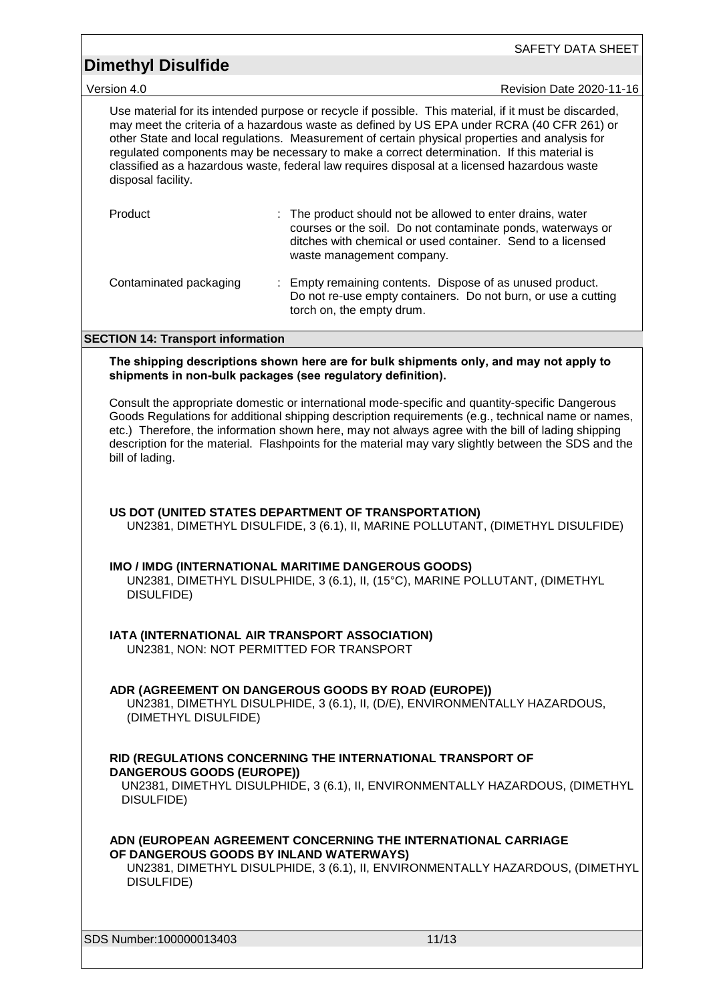SAFETY DATA SHEET

Version 4.0 Revision Date 2020-11-16

Use material for its intended purpose or recycle if possible. This material, if it must be discarded, may meet the criteria of a hazardous waste as defined by US EPA under RCRA (40 CFR 261) or other State and local regulations. Measurement of certain physical properties and analysis for regulated components may be necessary to make a correct determination. If this material is classified as a hazardous waste, federal law requires disposal at a licensed hazardous waste disposal facility.

| Product                | : The product should not be allowed to enter drains, water<br>courses or the soil. Do not contaminate ponds, waterways or<br>ditches with chemical or used container. Send to a licensed<br>waste management company. |
|------------------------|-----------------------------------------------------------------------------------------------------------------------------------------------------------------------------------------------------------------------|
| Contaminated packaging | : Empty remaining contents. Dispose of as unused product.<br>Do not re-use empty containers. Do not burn, or use a cutting<br>torch on, the empty drum.                                                               |

### **SECTION 14: Transport information**

**The shipping descriptions shown here are for bulk shipments only, and may not apply to shipments in non-bulk packages (see regulatory definition).**

Consult the appropriate domestic or international mode-specific and quantity-specific Dangerous Goods Regulations for additional shipping description requirements (e.g., technical name or names, etc.) Therefore, the information shown here, may not always agree with the bill of lading shipping description for the material. Flashpoints for the material may vary slightly between the SDS and the bill of lading.

### **US DOT (UNITED STATES DEPARTMENT OF TRANSPORTATION)**

UN2381, DIMETHYL DISULFIDE, 3 (6.1), II, MARINE POLLUTANT, (DIMETHYL DISULFIDE)

#### **IMO / IMDG (INTERNATIONAL MARITIME DANGEROUS GOODS)**

UN2381, DIMETHYL DISULPHIDE, 3 (6.1), II, (15°C), MARINE POLLUTANT, (DIMETHYL DISULFIDE)

**IATA (INTERNATIONAL AIR TRANSPORT ASSOCIATION)**

UN2381, NON: NOT PERMITTED FOR TRANSPORT

### **ADR (AGREEMENT ON DANGEROUS GOODS BY ROAD (EUROPE))**

UN2381, DIMETHYL DISULPHIDE, 3 (6.1), II, (D/E), ENVIRONMENTALLY HAZARDOUS, (DIMETHYL DISULFIDE)

### **RID (REGULATIONS CONCERNING THE INTERNATIONAL TRANSPORT OF DANGEROUS GOODS (EUROPE))**

UN2381, DIMETHYL DISULPHIDE, 3 (6.1), II, ENVIRONMENTALLY HAZARDOUS, (DIMETHYL DISULFIDE)

**ADN (EUROPEAN AGREEMENT CONCERNING THE INTERNATIONAL CARRIAGE OF DANGEROUS GOODS BY INLAND WATERWAYS)**

UN2381, DIMETHYL DISULPHIDE, 3 (6.1), II, ENVIRONMENTALLY HAZARDOUS, (DIMETHYL DISULFIDE)

SDS Number:100000013403 11/13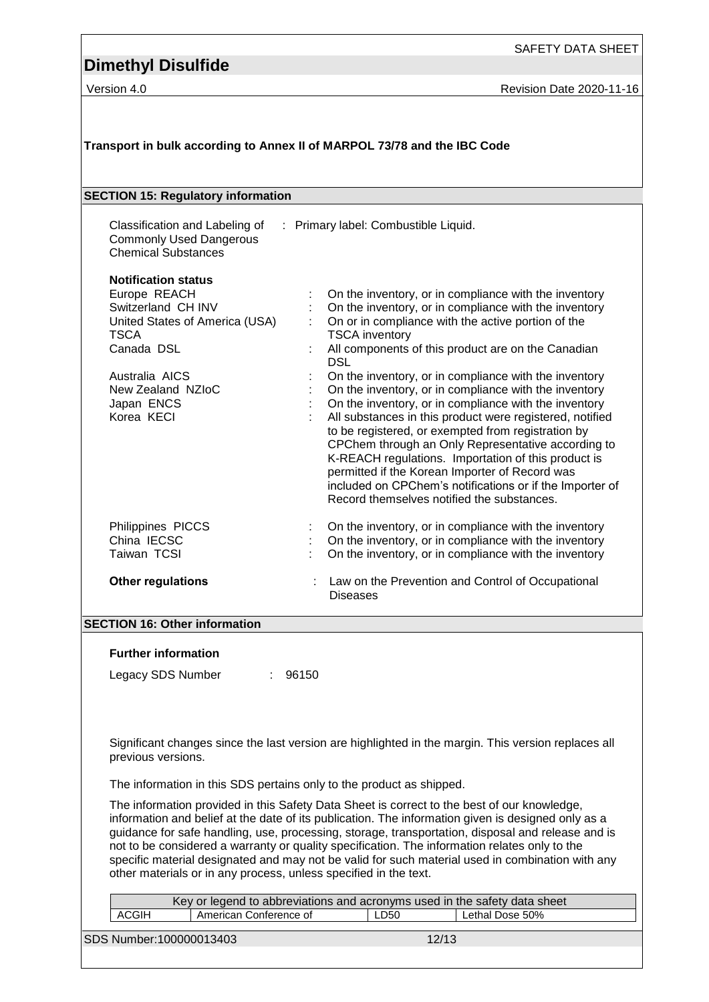Version 4.0 **Version 4.0** Revision Date 2020-11-16

| Transport in bulk according to Annex II of MARPOL 73/78 and the IBC Code                                                                                                                           |                                                                                                                                                                                                                                                                                                                                                                                                                                                                                                                                                                                                                                                                                                                                                                                                                                         |  |  |  |  |
|----------------------------------------------------------------------------------------------------------------------------------------------------------------------------------------------------|-----------------------------------------------------------------------------------------------------------------------------------------------------------------------------------------------------------------------------------------------------------------------------------------------------------------------------------------------------------------------------------------------------------------------------------------------------------------------------------------------------------------------------------------------------------------------------------------------------------------------------------------------------------------------------------------------------------------------------------------------------------------------------------------------------------------------------------------|--|--|--|--|
| <b>SECTION 15: Regulatory information</b>                                                                                                                                                          |                                                                                                                                                                                                                                                                                                                                                                                                                                                                                                                                                                                                                                                                                                                                                                                                                                         |  |  |  |  |
| Classification and Labeling of<br><b>Commonly Used Dangerous</b><br><b>Chemical Substances</b>                                                                                                     | : Primary label: Combustible Liquid.                                                                                                                                                                                                                                                                                                                                                                                                                                                                                                                                                                                                                                                                                                                                                                                                    |  |  |  |  |
| <b>Notification status</b><br>Europe REACH<br>Switzerland CH INV<br>United States of America (USA)<br><b>TSCA</b><br>Canada DSL<br>Australia AICS<br>New Zealand NZIoC<br>Japan ENCS<br>Korea KECI | On the inventory, or in compliance with the inventory<br>On the inventory, or in compliance with the inventory<br>On or in compliance with the active portion of the<br><b>TSCA</b> inventory<br>All components of this product are on the Canadian<br><b>DSL</b><br>On the inventory, or in compliance with the inventory<br>On the inventory, or in compliance with the inventory<br>On the inventory, or in compliance with the inventory<br>All substances in this product were registered, notified<br>to be registered, or exempted from registration by<br>CPChem through an Only Representative according to<br>K-REACH regulations. Importation of this product is<br>permitted if the Korean Importer of Record was<br>included on CPChem's notifications or if the Importer of<br>Record themselves notified the substances. |  |  |  |  |
| Philippines PICCS<br>China IECSC<br>Taiwan TCSI                                                                                                                                                    | On the inventory, or in compliance with the inventory<br>On the inventory, or in compliance with the inventory<br>On the inventory, or in compliance with the inventory                                                                                                                                                                                                                                                                                                                                                                                                                                                                                                                                                                                                                                                                 |  |  |  |  |
| <b>Other regulations</b>                                                                                                                                                                           | Law on the Prevention and Control of Occupational<br><b>Diseases</b>                                                                                                                                                                                                                                                                                                                                                                                                                                                                                                                                                                                                                                                                                                                                                                    |  |  |  |  |
| <b>SECTION 16: Other information</b>                                                                                                                                                               |                                                                                                                                                                                                                                                                                                                                                                                                                                                                                                                                                                                                                                                                                                                                                                                                                                         |  |  |  |  |
| <b>Further information</b>                                                                                                                                                                         |                                                                                                                                                                                                                                                                                                                                                                                                                                                                                                                                                                                                                                                                                                                                                                                                                                         |  |  |  |  |
| Legacy SDS Number                                                                                                                                                                                  | : 96150                                                                                                                                                                                                                                                                                                                                                                                                                                                                                                                                                                                                                                                                                                                                                                                                                                 |  |  |  |  |
| previous versions.                                                                                                                                                                                 | Significant changes since the last version are highlighted in the margin. This version replaces all                                                                                                                                                                                                                                                                                                                                                                                                                                                                                                                                                                                                                                                                                                                                     |  |  |  |  |
|                                                                                                                                                                                                    | The information in this SDS pertains only to the product as shipped.                                                                                                                                                                                                                                                                                                                                                                                                                                                                                                                                                                                                                                                                                                                                                                    |  |  |  |  |
|                                                                                                                                                                                                    | The information provided in this Safety Data Sheet is correct to the best of our knowledge,<br>information and belief at the date of its publication. The information given is designed only as a<br>guidance for safe handling, use, processing, storage, transportation, disposal and release and is<br>not to be considered a warranty or quality specification. The information relates only to the<br>specific material designated and may not be valid for such material used in combination with any<br>other materials or in any process, unless specified in the text.                                                                                                                                                                                                                                                         |  |  |  |  |
| American Conference of<br><b>ACGIH</b>                                                                                                                                                             | Key or legend to abbreviations and acronyms used in the safety data sheet<br>Lethal Dose 50%<br>LD50                                                                                                                                                                                                                                                                                                                                                                                                                                                                                                                                                                                                                                                                                                                                    |  |  |  |  |
| SDS Number:100000013403                                                                                                                                                                            | 12/13                                                                                                                                                                                                                                                                                                                                                                                                                                                                                                                                                                                                                                                                                                                                                                                                                                   |  |  |  |  |